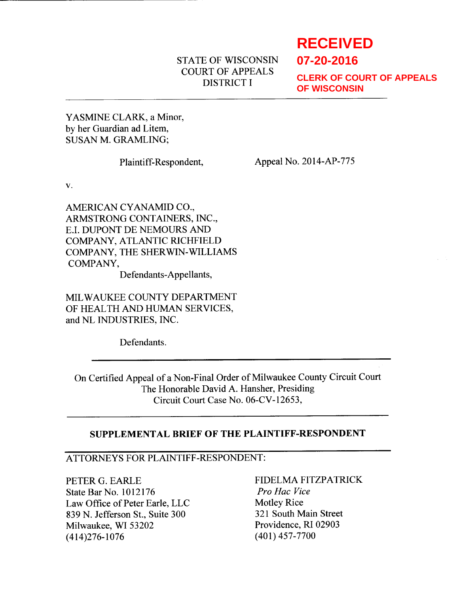## STATE OF WISCONSIN COURT OF APPEALS DISTRICT I

# **RECEIVED**

**07-20-2016**

**CLERK OF COURT OF APPEALS OF WISCONSIN**

YASMINE CLARK. a Minor. by her Guardian ad Litem, SUSAN M. GRAMLING;

Plaintiff-Respondent, Appeal No. 2014-AP-775

V.

AMERICAN CYANAMID CO.. ARMSTRONG CONTAINERS, INC., E.I. DUPONT DE NEMOURS AND COMPANY, ATLANTIC RICHFIELD COMPANY, THE SHERWIN-WILLIAMS COMPANY,

Defendants-Appellants,

MILWAUKEE COUNTY DEPARTMENT OF HEALTH AND HUMAN SERVICES, and NL INDUSTRIES, INC.

Defendants.

On Certified Appeal of a Non-Final Order of Milwaukee County Circuit Court The Honorable David A. Hansher, Presiding Circuit Court Case No. 06-CV-12653,

## SUPPLEMENTAL BRIEF OF THE PLAINTIFF.RESPONDENT

## ATTORNEYS FOR PLAINTIFF.RESPONDENT:

PETER G. EARLE State Bar No. 1012176 Milwaukee, WI 53202 (414)276-1076 Law Office of Peter Earle, LLC<br>
839 N. Jefferson St., Suite 300 321 South Main Street 839 N. Jefferson St., Suite 300

FIDELMA FITZPATRICK Pro Hac Vice Providence. RI 02903 (401) 4s7-7700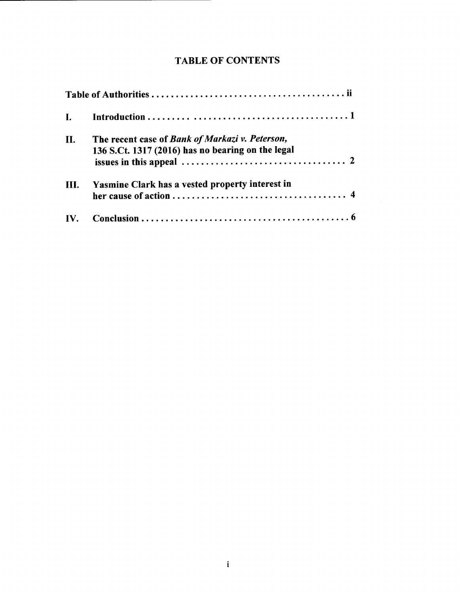# TABLE OF CONTENTS

| $\mathbf{I}$ . |                                                                                                      |
|----------------|------------------------------------------------------------------------------------------------------|
| II.            | The recent case of Bank of Markazi v. Peterson,<br>136 S.Ct. 1317 (2016) has no bearing on the legal |
| III.           | Yasmine Clark has a vested property interest in                                                      |
| IV.            |                                                                                                      |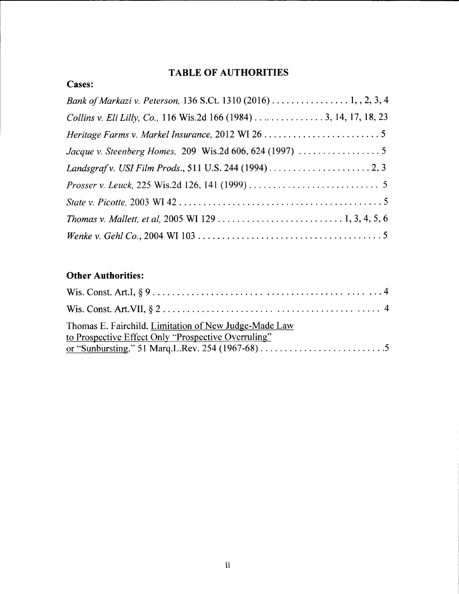# TABLE OF AUTHORITIES

| <b>Cases:</b> |
|---------------|
|---------------|

| <i>Prosser v. Leuck</i> , 225 Wis.2d 126, 141 (1999) $\ldots \ldots \ldots \ldots \ldots \ldots \ldots \ldots$ |
|----------------------------------------------------------------------------------------------------------------|
|                                                                                                                |
|                                                                                                                |
|                                                                                                                |

# **Other Authorities:**

| Thomas E. Fairchild, Limitation of New Judge-Made Law<br>to Prospective Effect Only "Prospective Overruling" |  |
|--------------------------------------------------------------------------------------------------------------|--|
|                                                                                                              |  |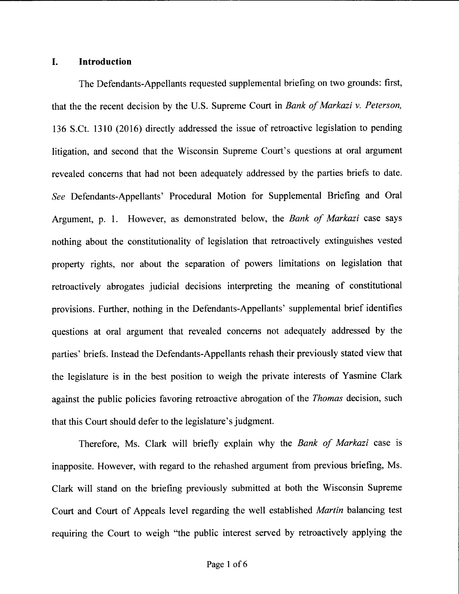#### I. Introduction

The Defendants-Appellants requested supplemental briefing on two grounds: first, that the the recent decision by the U.S. Supreme Court in Bank of Markazi v. Peterson, 136 S.Ct. 1310 (2016) directly addressed the issue of retroactive legislation to pending litigation, and second that the Wisconsin Supreme Court's questions at oral argument revealed concerns that had not been adequately addressed by the parties briefs to date. See Defendants-Appellants' Procedural Motion for Supplemental Briefing and Oral Argument, p. 1. However, as demonstrated below, the *Bank of Markazi* case says nothing about the constitutionality of legislation that retroactively extinguishes vested property rights, nor about the separation of powers limitations on legislation that retroactively abrogates judicial decisions interpreting the meaning of constitutional provisions. Further, nothing in the Defendants-Appellants' supplemental brief identifies questions at oral argument that revealed concerns not adequately addressed by the parties' briefs. Instead the Defendants-Appellants rehash their previously stated view that the legislature is in the best position to weigh the private interests of Yasmine Clark against the public policies favoring retroactive abrogation of the *Thomas* decision, such that this Court should defer to the legislature's judgment.

Therefore, Ms. Clark will briefly explain why the Bank of Markazi case is inapposite. However, with regard to the rehashed argument from previous briefing, Ms. Clark will stand on the briefing previously submitted at both the Wisconsin Supreme Court and Court of Appeals level regarding the well established Martin balancing test requiring the Court to weigh "the public interest served by retroactively applying the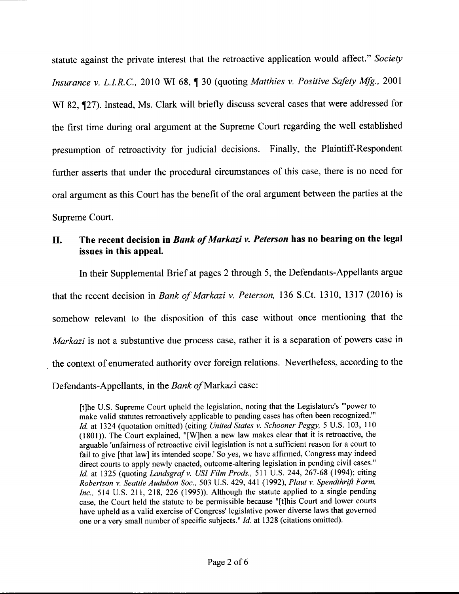statute against the private interest that the retroactive application would affect." Society Insurance v. L.I.R.C., 2010 WI 68, 1 30 (quoting Matthies v. Positive Safety Mfg., 2001 WI 82,  $\P$ 27). Instead, Ms. Clark will briefly discuss several cases that were addressed for the first time during oral argument at the Supreme Court regarding the well established presumption of retroactivity for judicial decisions. Finally, the Plaintiff-Respondent further asserts that under the procedural circumstances of this case, there is no need for oral argument as this Court has the benefit of the oral argument between the parties at the Supreme Court.

## II. The recent decision in Bank of Markazi v. Peterson has no bearing on the legal issues in this appeal.

In their Supplemental Brief at pages 2 through 5, the Defendants-Appellants argue that the recent decision in Bank of Markazi v. Peterson, 136 S.Ct. 1310, 1317 (2016) is somehow relevant to the disposition of this case without once mentioning that the Markazi is not a substantive due process case, rather it is a separation of powers case in the context of enumerated authority over foreign relations. Nevertheless, according to the Defendants-Appellants, in the Bank of Markazi case:

[t]he U.S. Supreme Court upheld the legislation, noting that the Legislature's "'power to make valid statutes retroactively applicable to pending cases has often been recognized."' Id. at 1324 (quotation omitted) (citing United States v. Schooner Peggy, 5 U.S. 103, 110  $(1801)$ ). The Court explained, "[W]hen a new law makes clear that it is retroactive, the arguable 'unfairness of retroactive civil legislation is not a sufficient reason for a court to fail to give [that law] its intended scope.' So yes, we have affirmed, Congress may indeed direct courts to apply newly enacted, outcome-altering legislation in pending civil cases." Id. at 1325 (quoting Landsgraf v. USI Film Prods., 511 U.S. 244, 267-68 (1994); citing Robertson v. Seattle Audubon Soc., 503 U.S. 429, 441 (1992), Plaut v. Spendthrift Farm, Inc., 514 U.S. 211, 218, 226 (1995)). Although the statute applied to a single pending case, the Court held the statute to be permissible because "[t]his Court and lower courts have upheld as a valid exercise of Congress' legislative power diverse laws that governed one or a very small number of specific subjects." Id. at 1328 (citations omitted).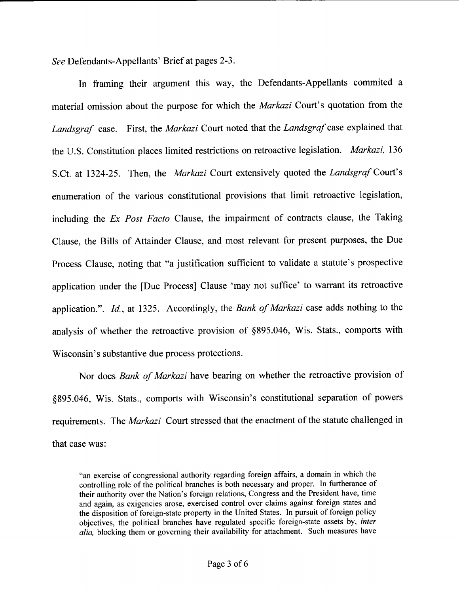See Defendants-Appellants' Brief at pages 2-3.

In framing their argument this way, the Defendants-Appellants commited <sup>a</sup> material omission about the purpose for which the Markazi Court's quotation from the Landsgraf case. First, the Markazi Court noted that the Landsgraf case explained that the U.S. Constitution places limited restrictions on retroactive legislation. Markazi, 136 S.Ct. at 1324-25. Then, the *Markazi* Court extensively quoted the *Landsgraf* Court's enumeration of the various constitutional provisions that limit retroactive legislation, including the Ex Post Facto Clause, the impairment of contracts clause, the Taking Clause, the Bills of Attainder Clause, and most relevant for present purposes, the Due Process Clause, noting that "a justification sufficient to validate a statute's prospective application under the [Due Process] Clause 'may not suffice' to warrant its retroactive application.". Id., at 1325. Accordingly, the Bank of Markazi case adds nothing to the analysis of whether the retroactive provision of \$895.046, Wis. Stats., comports with Wisconsin's substantive due process protections.

Nor does Bank of Markazi have bearing on whether the retroactive provision of \$895.046, Wis. Stats., comports with Wisconsin's constitutional separation of powers requirements. The *Markazi* Court stressed that the enactment of the statute challenged in that case was:

<sup>&</sup>quot;an exercise of congressional authority regarding foreign affairs, a domain in which the controlling role of the political branches is both necessary and proper. In furtherance of their authority over the Nation's foreign relations, Congress and the President have, time and again, as exigencies arose, exercised control over claims against foreign states and the disposition of foreign-state property in the United States. In pursuit of foreign policy objectives, the political branches have regulated specific foreign-state assets by, inter alia, blocking them or governing their availability for attachment. Such measures have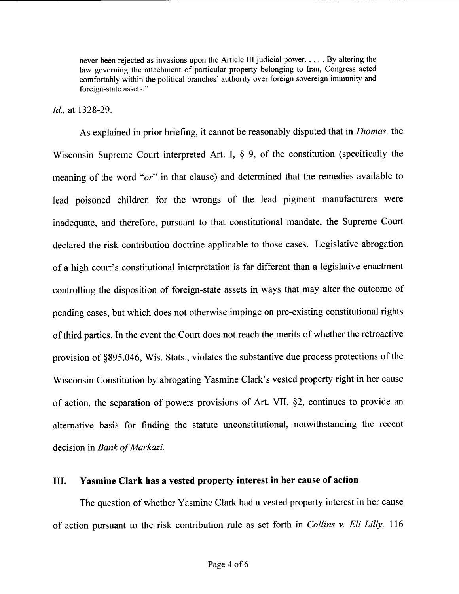never been rejected as invasions upon the Article III judicial power. . . . . By altering the law governing the attachment of particular property belonging to Iran, Congress acted comfortably within the political branches' authority over foreign sovereign immunity and foreign-state assets."

#### Id., at 1328-29.

As explained in prior briefing, it cannot be reasonably disputed that in Thomas, the Wisconsin Supreme Court interpreted Art. I, § 9, of the constitution (specifically the meaning of the word " $or$ " in that clause) and determined that the remedies available to lead poisoned children for the wrongs of the lead pigment manufacturers were inadequate, and therefore, pursuant to that constitutional mandate, the Supreme Court declared the risk contribution doctrine applicable to those cases. Legislative abrogation of a high court's constitutional interpretation is far different than a legislative enactment controlling the disposition of foreign-state assets in ways that may alter the outcome of pending cases, but which does not otherwise impinge on pre-existing constitutional rights of third parties. In the event the Court does not reach the merits of whether the retroactive provision of \$895.046, Wis. Stats., violates the substantive due process protections of the Wisconsin Constitution by abrogating Yasmine Clark's vested property right in her cause of action, the separation of powers provisions of Art. VII, \$2, continues to provide an alternative basis for finding the statute unconstitutional, notwithstanding the recent decision in Bank of Markazi.

#### III. Yasmine Clark has a vested property interest in her cause of action

The question of whether Yasmine Clark had a vested property interest in her cause of action pursuant to the risk contribution rule as set forth in Collins v. Eli Lilly, <sup>116</sup>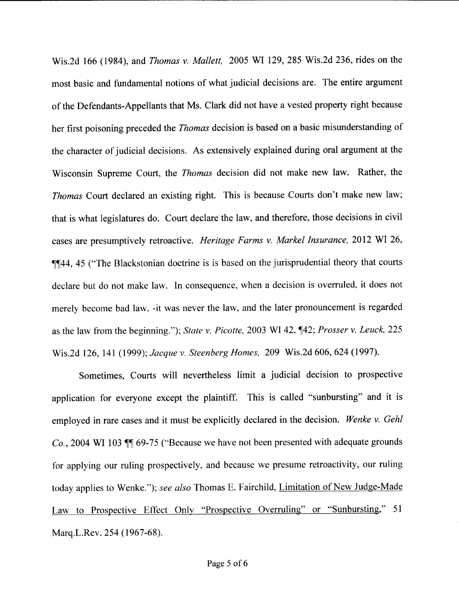Wis.2d 166 (1984), and *Thomas v. Mallett,* 2005 WI 129, 285 Wis.2d 236, rides on the most basic and fundamental notions of what judicial decisions are. The entire argument of the Defendants-Appellants that Ms. Clark did not have a vested property right because her first poisoning preceded the Thomas decision is based on a basic misunderstanding of the character of judicial decisions. As extensively explained during oral argument at the Wisconsin Supreme Court, the Thomas decision did not make new law. Rather, the Thomas Court declared an existing right. This is because Courts don't make new law; that is what legislatures do. Court declare the law, and therefore, those decisions in civil cases are presumptively retroactive. Heritage Farms v. Markel Insurance, 2012 WI26, **formulation** 45 ("The Blackstonian doctrine is is based on the jurisprudential theory that courts declare but do not make law. In consequence, when a decision is overruled, it does not merely become bad law, -it was never the law, and the later pronouncement is regarded as the law from the beginning."); State v. Picotte, 2003 WI 42,  $\P$ 42; Prosser v. Leuck, 225 Wis.2d 126,141 (1999); Jacque v. Steenberg Homes, 209 Wis.2d 606, 624 (1997).

Sometimes, Courts will nevertheless limit a judicial decision to prospective application for everyone except the plaintiff. This is called "sunbursting" and it is employed in rare cases and it must be explicitly declared in the decision. Wenke v. Gehl  $Co.$ , 2004 WI 103  $\mathbb{I}$  69-75 ("Because we have not been presented with adequate grounds for applying our ruling prospectively, and because we presume retroactivity, our ruling today applies to Wenke."); see also Thomas E. Fairchild, Limitation of New Judge-Made Law to Prospective Effect Only "Prospective Overruling" or "Sunbursting," 51 Marq.L.Rev. 254 (1967-68).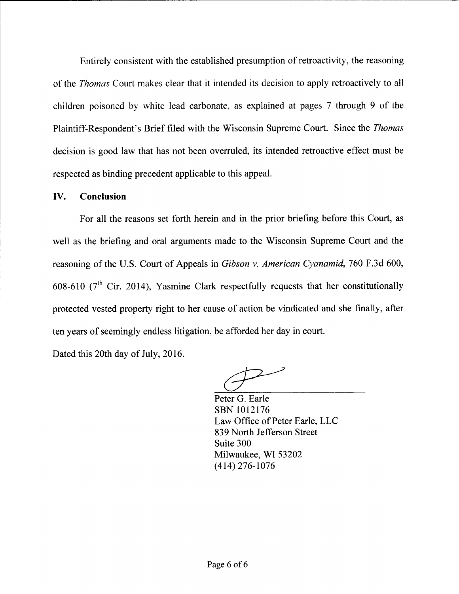Entirely consistent with the established presumption of retroactivity, the reasoning of the Thomas Court makes clear that it intended its decision to apply retroactively to all children poisoned by white lead carbonate, as explained at pages 7 through 9 of the Plaintiff-Respondent's Brief filed with the Wisconsin Supreme Court. Since the Thomas decision is good law that has not been overruled, its intended retroactive effect must be respected as binding precedent applicable to this appeal.

#### IV. Conclusion

For all the reasons set forth herein and in the prior briefing before this Court, as well as the briefing and oral arguments made to the Wisconsin Supreme Court and the reasoning of the U.S. Court of Appeals in Gibson v. American Cyanamid, 760 F.3d 600, 608-610 ( $7<sup>th</sup>$  Cir. 2014), Yasmine Clark respectfully requests that her constitutionally protected vested property right to her cause of action be vindicated and she finally, after ten years of seemingly endless litigation, be afforded her day in court.

Dated this 20th day of July, 2016.

Peter G. Earle sBN 1012176 Law Office of Peter Earle, LLC 839 North Jefferson Street Suite 300 Milwaukee, WI 53202  $(414)$  276-1076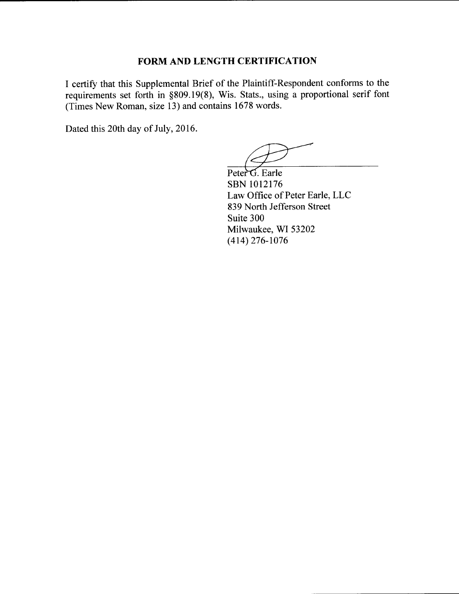### FORM AND LENGTH CERTIFICATION

I certify that this Supplemental Brief of the Plaintiff-Respondent conforms to the requirements set forth in \$809.19(8), Wis. Stats., using a proportional serif font (Times New Roman, size 13) and contains 1678 words.

Dated this 20th day of July, 2016.

Law Office of Peter Earle. LLC 839 North Jefferson Street Suite 300 Milwaukee, WI 53202  $(414)$  276-1076 Peter<sup>G</sup>. Earle sBN 1012176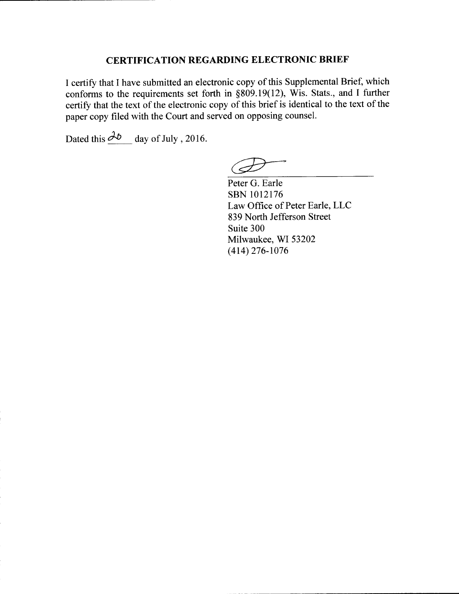## CERTIFICATION REGARDING ELECTRONIC BRIEF

I certify that I have submitted an electronic copy of this Supplemental Brief, which conforms to the requirements set forth in  $\S 809.19(12)$ , Wis. Stats., and I further certify that the text of the electronic copy of this brief is identical to the text of the paper copy filed with the Court and served on opposing counsel.

Dated this  $\partial_{\phi}$  day of July , 2016.

Peter G. Earle sBN 1012176 Law Office of Peter Earle, LLC 839 North Jefferson Street Suite 300 Milwaukee, WI 53202  $(414)$  276-1076